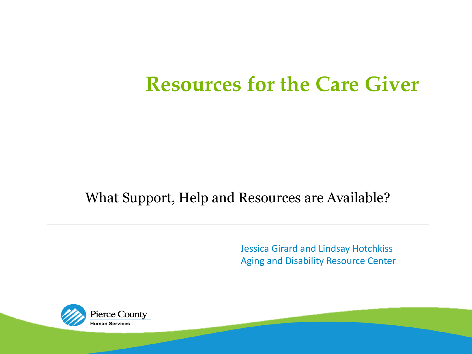# **Resources for the Care Giver**

#### What Support, Help and Resources are Available?

Jessica Girard and Lindsay Hotchkiss Aging and Disability Resource Center

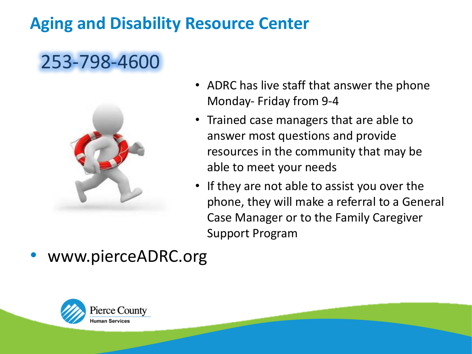## **Aging and Disability Resource Center**

# 253-798-4600



- ADRC has live staff that answer the phone Monday- Friday from 9-4
- Trained case managers that are able to answer most questions and provide resources in the community that may be able to meet your needs
- If they are not able to assist you over the phone, they will make a referral to a General Case Manager or to the Family Caregiver Support Program



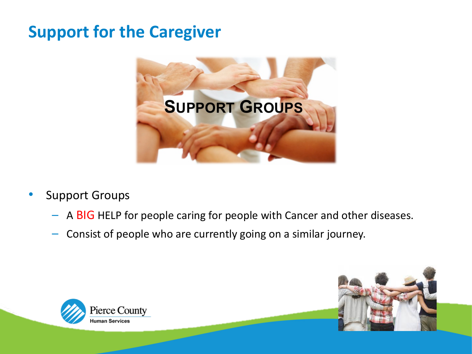## **Support for the Caregiver**



- Support Groups
	- A BIG HELP for people caring for people with Cancer and other diseases.
	- $-$  Consist of people who are currently going on a similar journey.



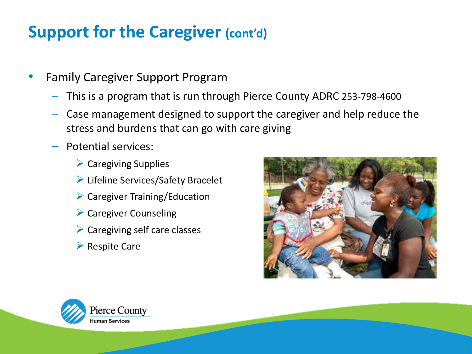### **Support for the Caregiver (cont'd)**

- Family Caregiver Support Program
	- This is a program that is run through Pierce County ADRC 253-798-4600
	- Case management designed to support the caregiver and help reduce the stress and burdens that can go with care giving
	- $-$  Potential services:
		- $\triangleright$  Caregiving Supplies
		- $\triangleright$  Lifeline Services/Safety Bracelet
		- $\triangleright$  Caregiver Training/Education
		- $\triangleright$  Caregiver Counseling
		- $\triangleright$  Caregiving self care classes
		- $\triangleright$  Respite Care



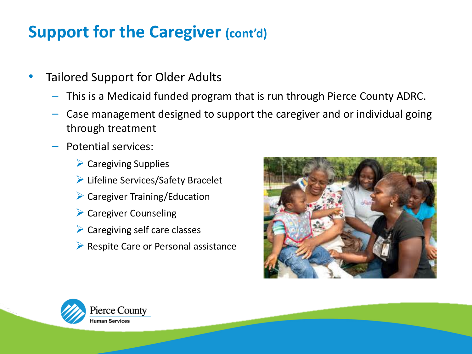### **Support for the Caregiver (cont'd)**

- Tailored Support for Older Adults
	- This is a Medicaid funded program that is run through Pierce County ADRC.
	- $-$  Case management designed to support the caregiver and or individual going through treatment
	- $-$  Potential services:
		- $\triangleright$  Caregiving Supplies
		- $\triangleright$  Lifeline Services/Safety Bracelet
		- $\triangleright$  Caregiver Training/Education
		- $\triangleright$  Caregiver Counseling
		- $\triangleright$  Caregiving self care classes
		- $\triangleright$  Respite Care or Personal assistance



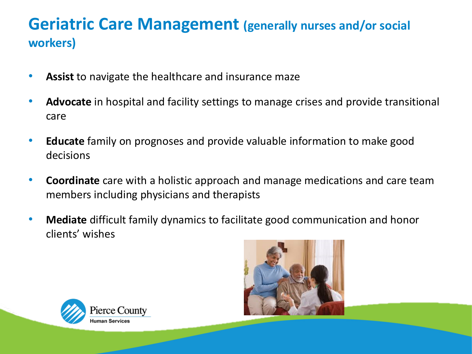#### **Geriatric Care Management (generally nurses and/or social workers)**

- **Assist** to navigate the healthcare and insurance maze
- **Advocate** in hospital and facility settings to manage crises and provide transitional care
- **Educate** family on prognoses and provide valuable information to make good decisions
- **Coordinate** care with a holistic approach and manage medications and care team members including physicians and therapists
- Mediate difficult family dynamics to facilitate good communication and honor clients' wishes



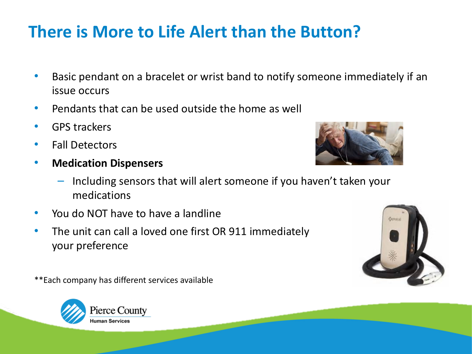## **There is More to Life Alert than the Button?**

- Basic pendant on a bracelet or wrist band to notify someone immediately if an issue occurs
- Pendants that can be used outside the home as well
- GPS trackers
- Fall Detectors
- **Medication Dispensers**
	- $-$  Including sensors that will alert someone if you haven't taken your medications
- You do NOT have to have a landline
- The unit can call a loved one first OR 911 immediately your preference



\*\*Each company has different services available



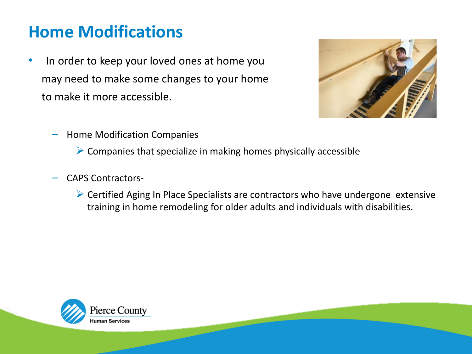## **Home Modifications**

• In order to keep your loved ones at home you may need to make some changes to your home to make it more accessible.



 $-$  Home Modification Companies

 $\triangleright$  Companies that specialize in making homes physically accessible

- CAPS Contractors-
	- $\triangleright$  Certified Aging In Place Specialists are contractors who have undergone extensive training in home remodeling for older adults and individuals with disabilities.

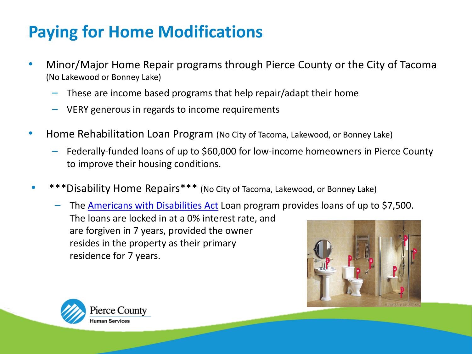## **Paying for Home Modifications**

- Minor/Major Home Repair programs through Pierce County or the City of Tacoma (No Lakewood or Bonney Lake)
	- These are income based programs that help repair/adapt their home
	- VERY generous in regards to income requirements
- Home Rehabilitation Loan Program (No City of Tacoma, Lakewood, or Bonney Lake)
	- Federally-funded loans of up to \$60,000 for low-income homeowners in Pierce County to improve their housing conditions.
- \*\*\*Disability Home Repairs\*\*\* (No City of Tacoma, Lakewood, or Bonney Lake)
	- The Americans with Disabilities Act Loan program provides loans of up to \$7,500. The loans are locked in at a 0% interest rate, and are forgiven in 7 years, provided the owner resides in the property as their primary residence for 7 years.



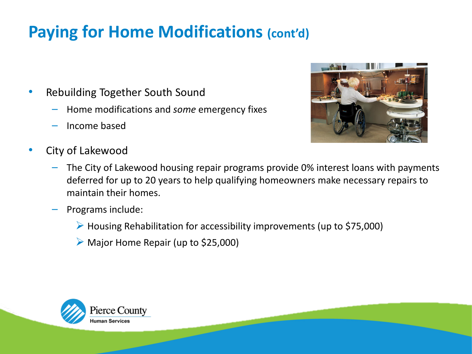## **Paying for Home Modifications (cont'd)**

- Rebuilding Together South Sound
	- Home modifications and *some* emergency fixes
	- Income based
- City of Lakewood



- $-$  The City of Lakewood housing repair programs provide 0% interest loans with payments deferred for up to 20 years to help qualifying homeowners make necessary repairs to maintain their homes.
- Programs include:
	- $\triangleright$  Housing Rehabilitation for accessibility improvements (up to \$75,000)
	- $\triangleright$  Major Home Repair (up to \$25,000)

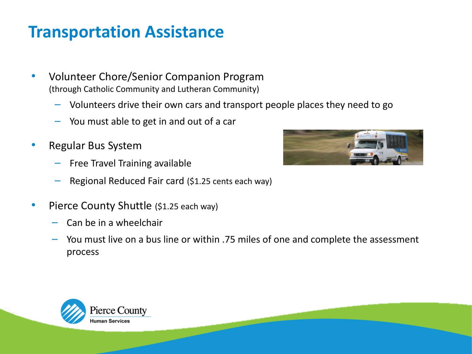#### **Transportation Assistance**

- Volunteer Chore/Senior Companion Program (through Catholic Community and Lutheran Community)
	- Volunteers drive their own cars and transport people places they need to go
	- $-$  You must able to get in and out of a car
- Regular Bus System
	- Free Travel Training available
	- Regional Reduced Fair card (\$1.25 cents each way)
- Pierce County Shuttle (\$1.25 each way)
	- Can be in a wheelchair
	- You must live on a bus line or within .75 miles of one and complete the assessment process



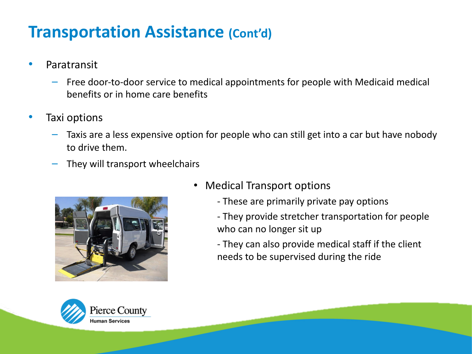#### **Transportation Assistance (Cont'd)**

- Paratransit
	- $-$  Free door-to-door service to medical appointments for people with Medicaid medical benefits or in home care benefits
- Taxi options
	- $-$  Taxis are a less expensive option for people who can still get into a car but have nobody to drive them.
	- They will transport wheelchairs



- Medical Transport options
	- These are primarily private pay options
	- They provide stretcher transportation for people who can no longer sit up
	- They can also provide medical staff if the client needs to be supervised during the ride